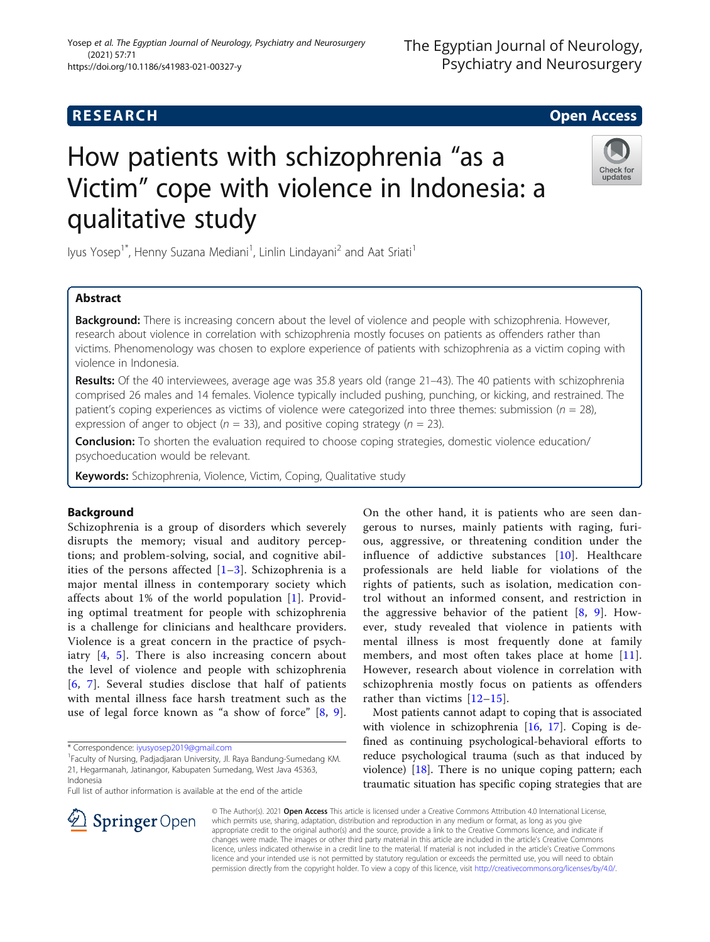(2021) 57:71

https://doi.org/10.1186/s41983-021-00327-y

# How patients with schizophrenia "as a Victim" cope with violence in Indonesia: a qualitative study



lyus Yosep<sup>1\*</sup>, Henny Suzana Mediani<sup>1</sup>, Linlin Lindayani<sup>2</sup> and Aat Sriati<sup>1</sup>

# Abstract

**Background:** There is increasing concern about the level of violence and people with schizophrenia. However, research about violence in correlation with schizophrenia mostly focuses on patients as offenders rather than victims. Phenomenology was chosen to explore experience of patients with schizophrenia as a victim coping with violence in Indonesia.

Results: Of the 40 interviewees, average age was 35.8 years old (range 21–43). The 40 patients with schizophrenia comprised 26 males and 14 females. Violence typically included pushing, punching, or kicking, and restrained. The patient's coping experiences as victims of violence were categorized into three themes: submission ( $n = 28$ ), expression of anger to object ( $n = 33$ ), and positive coping strategy ( $n = 23$ ).

Conclusion: To shorten the evaluation required to choose coping strategies, domestic violence education/ psychoeducation would be relevant.

Keywords: Schizophrenia, Violence, Victim, Coping, Qualitative study

# Background

Schizophrenia is a group of disorders which severely disrupts the memory; visual and auditory perceptions; and problem-solving, social, and cognitive abilities of the persons affected  $[1-3]$  $[1-3]$  $[1-3]$ . Schizophrenia is a major mental illness in contemporary society which affects about 1% of the world population [\[1](#page-4-0)]. Providing optimal treatment for people with schizophrenia is a challenge for clinicians and healthcare providers. Violence is a great concern in the practice of psychiatry [[4,](#page-4-0) [5\]](#page-4-0). There is also increasing concern about the level of violence and people with schizophrenia [[6](#page-4-0), [7](#page-4-0)]. Several studies disclose that half of patients with mental illness face harsh treatment such as the use of legal force known as "a show of force" [[8](#page-4-0), [9](#page-4-0)].

Full list of author information is available at the end of the article



Most patients cannot adapt to coping that is associated with violence in schizophrenia [[16,](#page-5-0) [17\]](#page-5-0). Coping is defined as continuing psychological-behavioral efforts to reduce psychological trauma (such as that induced by violence) [\[18](#page-5-0)]. There is no unique coping pattern; each traumatic situation has specific coping strategies that are

© The Author(s). 2021 Open Access This article is licensed under a Creative Commons Attribution 4.0 International License, which permits use, sharing, adaptation, distribution and reproduction in any medium or format, as long as you give appropriate credit to the original author(s) and the source, provide a link to the Creative Commons licence, and indicate if changes were made. The images or other third party material in this article are included in the article's Creative Commons licence, unless indicated otherwise in a credit line to the material. If material is not included in the article's Creative Commons licence and your intended use is not permitted by statutory regulation or exceeds the permitted use, you will need to obtain permission directly from the copyright holder. To view a copy of this licence, visit <http://creativecommons.org/licenses/by/4.0/>.



<sup>\*</sup> Correspondence: [iyusyosep2019@gmail.com](mailto:iyusyosep2019@gmail.com) <sup>1</sup>

<sup>&</sup>lt;sup>1</sup>Faculty of Nursing, Padjadjaran University, Jl. Raya Bandung-Sumedang KM. 21, Hegarmanah, Jatinangor, Kabupaten Sumedang, West Java 45363, Indonesia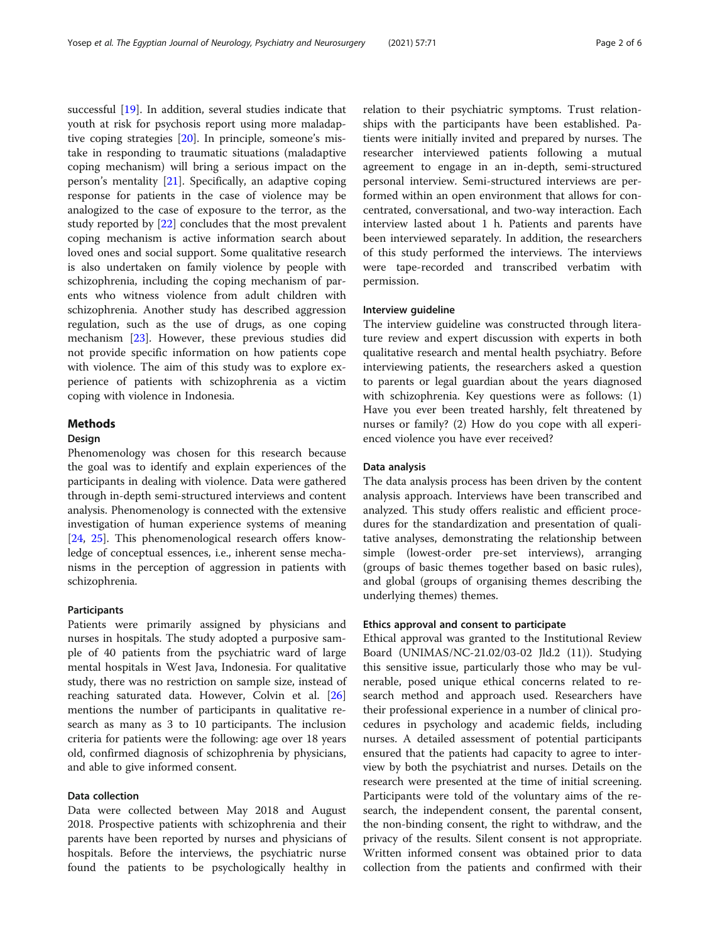successful [\[19](#page-5-0)]. In addition, several studies indicate that youth at risk for psychosis report using more maladaptive coping strategies [\[20\]](#page-5-0). In principle, someone's mistake in responding to traumatic situations (maladaptive coping mechanism) will bring a serious impact on the person's mentality [[21\]](#page-5-0). Specifically, an adaptive coping response for patients in the case of violence may be analogized to the case of exposure to the terror, as the study reported by [\[22\]](#page-5-0) concludes that the most prevalent coping mechanism is active information search about loved ones and social support. Some qualitative research is also undertaken on family violence by people with schizophrenia, including the coping mechanism of parents who witness violence from adult children with schizophrenia. Another study has described aggression regulation, such as the use of drugs, as one coping mechanism [\[23\]](#page-5-0). However, these previous studies did not provide specific information on how patients cope with violence. The aim of this study was to explore experience of patients with schizophrenia as a victim coping with violence in Indonesia.

# Methods

# Design

Phenomenology was chosen for this research because the goal was to identify and explain experiences of the participants in dealing with violence. Data were gathered through in-depth semi-structured interviews and content analysis. Phenomenology is connected with the extensive investigation of human experience systems of meaning [[24,](#page-5-0) [25](#page-5-0)]. This phenomenological research offers knowledge of conceptual essences, i.e., inherent sense mechanisms in the perception of aggression in patients with schizophrenia.

# **Participants**

Patients were primarily assigned by physicians and nurses in hospitals. The study adopted a purposive sample of 40 patients from the psychiatric ward of large mental hospitals in West Java, Indonesia. For qualitative study, there was no restriction on sample size, instead of reaching saturated data. However, Colvin et al. [[26](#page-5-0)] mentions the number of participants in qualitative research as many as 3 to 10 participants. The inclusion criteria for patients were the following: age over 18 years old, confirmed diagnosis of schizophrenia by physicians, and able to give informed consent.

## Data collection

Data were collected between May 2018 and August 2018. Prospective patients with schizophrenia and their parents have been reported by nurses and physicians of hospitals. Before the interviews, the psychiatric nurse found the patients to be psychologically healthy in

relation to their psychiatric symptoms. Trust relationships with the participants have been established. Patients were initially invited and prepared by nurses. The researcher interviewed patients following a mutual agreement to engage in an in-depth, semi-structured personal interview. Semi-structured interviews are performed within an open environment that allows for concentrated, conversational, and two-way interaction. Each interview lasted about 1 h. Patients and parents have been interviewed separately. In addition, the researchers of this study performed the interviews. The interviews were tape-recorded and transcribed verbatim with permission.

#### Interview guideline

The interview guideline was constructed through literature review and expert discussion with experts in both qualitative research and mental health psychiatry. Before interviewing patients, the researchers asked a question to parents or legal guardian about the years diagnosed with schizophrenia. Key questions were as follows: (1) Have you ever been treated harshly, felt threatened by nurses or family? (2) How do you cope with all experienced violence you have ever received?

#### Data analysis

The data analysis process has been driven by the content analysis approach. Interviews have been transcribed and analyzed. This study offers realistic and efficient procedures for the standardization and presentation of qualitative analyses, demonstrating the relationship between simple (lowest-order pre-set interviews), arranging (groups of basic themes together based on basic rules), and global (groups of organising themes describing the underlying themes) themes.

#### Ethics approval and consent to participate

Ethical approval was granted to the Institutional Review Board (UNIMAS/NC-21.02/03-02 Jld.2 (11)). Studying this sensitive issue, particularly those who may be vulnerable, posed unique ethical concerns related to research method and approach used. Researchers have their professional experience in a number of clinical procedures in psychology and academic fields, including nurses. A detailed assessment of potential participants ensured that the patients had capacity to agree to interview by both the psychiatrist and nurses. Details on the research were presented at the time of initial screening. Participants were told of the voluntary aims of the research, the independent consent, the parental consent, the non-binding consent, the right to withdraw, and the privacy of the results. Silent consent is not appropriate. Written informed consent was obtained prior to data collection from the patients and confirmed with their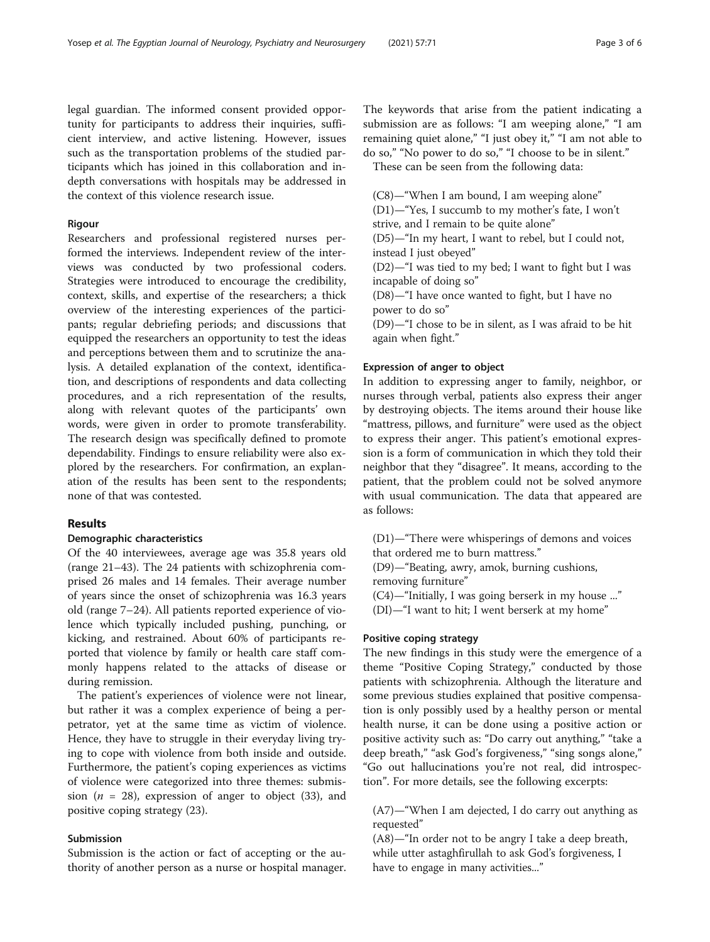legal guardian. The informed consent provided opportunity for participants to address their inquiries, sufficient interview, and active listening. However, issues such as the transportation problems of the studied participants which has joined in this collaboration and indepth conversations with hospitals may be addressed in the context of this violence research issue.

#### Rigour

Researchers and professional registered nurses performed the interviews. Independent review of the interviews was conducted by two professional coders. Strategies were introduced to encourage the credibility, context, skills, and expertise of the researchers; a thick overview of the interesting experiences of the participants; regular debriefing periods; and discussions that equipped the researchers an opportunity to test the ideas and perceptions between them and to scrutinize the analysis. A detailed explanation of the context, identification, and descriptions of respondents and data collecting procedures, and a rich representation of the results, along with relevant quotes of the participants' own words, were given in order to promote transferability. The research design was specifically defined to promote dependability. Findings to ensure reliability were also explored by the researchers. For confirmation, an explanation of the results has been sent to the respondents; none of that was contested.

#### Results

# Demographic characteristics

Of the 40 interviewees, average age was 35.8 years old (range 21–43). The 24 patients with schizophrenia comprised 26 males and 14 females. Their average number of years since the onset of schizophrenia was 16.3 years old (range 7–24). All patients reported experience of violence which typically included pushing, punching, or kicking, and restrained. About 60% of participants reported that violence by family or health care staff commonly happens related to the attacks of disease or during remission.

The patient's experiences of violence were not linear, but rather it was a complex experience of being a perpetrator, yet at the same time as victim of violence. Hence, they have to struggle in their everyday living trying to cope with violence from both inside and outside. Furthermore, the patient's coping experiences as victims of violence were categorized into three themes: submission ( $n = 28$ ), expression of anger to object (33), and positive coping strategy (23).

# Submission

Submission is the action or fact of accepting or the authority of another person as a nurse or hospital manager. The keywords that arise from the patient indicating a submission are as follows: "I am weeping alone," "I am remaining quiet alone," "I just obey it," "I am not able to do so," "No power to do so," "I choose to be in silent."

These can be seen from the following data:

(C8)—"When I am bound, I am weeping alone" (D1)—"Yes, I succumb to my mother's fate, I won't

strive, and I remain to be quite alone"

(D5)—"In my heart, I want to rebel, but I could not, instead I just obeyed"

(D2)—"I was tied to my bed; I want to fight but I was incapable of doing so"

(D8)—"I have once wanted to fight, but I have no power to do so"

(D9)—"I chose to be in silent, as I was afraid to be hit again when fight."

#### Expression of anger to object

In addition to expressing anger to family, neighbor, or nurses through verbal, patients also express their anger by destroying objects. The items around their house like "mattress, pillows, and furniture" were used as the object to express their anger. This patient's emotional expression is a form of communication in which they told their neighbor that they "disagree". It means, according to the patient, that the problem could not be solved anymore with usual communication. The data that appeared are as follows:

(D1)—"There were whisperings of demons and voices that ordered me to burn mattress."

(D9)—"Beating, awry, amok, burning cushions, removing furniture"

(C4)—"Initially, I was going berserk in my house ..."

(DI)—"I want to hit; I went berserk at my home"

# Positive coping strategy

The new findings in this study were the emergence of a theme "Positive Coping Strategy," conducted by those patients with schizophrenia. Although the literature and some previous studies explained that positive compensation is only possibly used by a healthy person or mental health nurse, it can be done using a positive action or positive activity such as: "Do carry out anything," "take a deep breath," "ask God's forgiveness," "sing songs alone," "Go out hallucinations you're not real, did introspection". For more details, see the following excerpts:

(A7)—"When I am dejected, I do carry out anything as requested"

(A8)—"In order not to be angry I take a deep breath, while utter astaghfirullah to ask God's forgiveness, I have to engage in many activities..."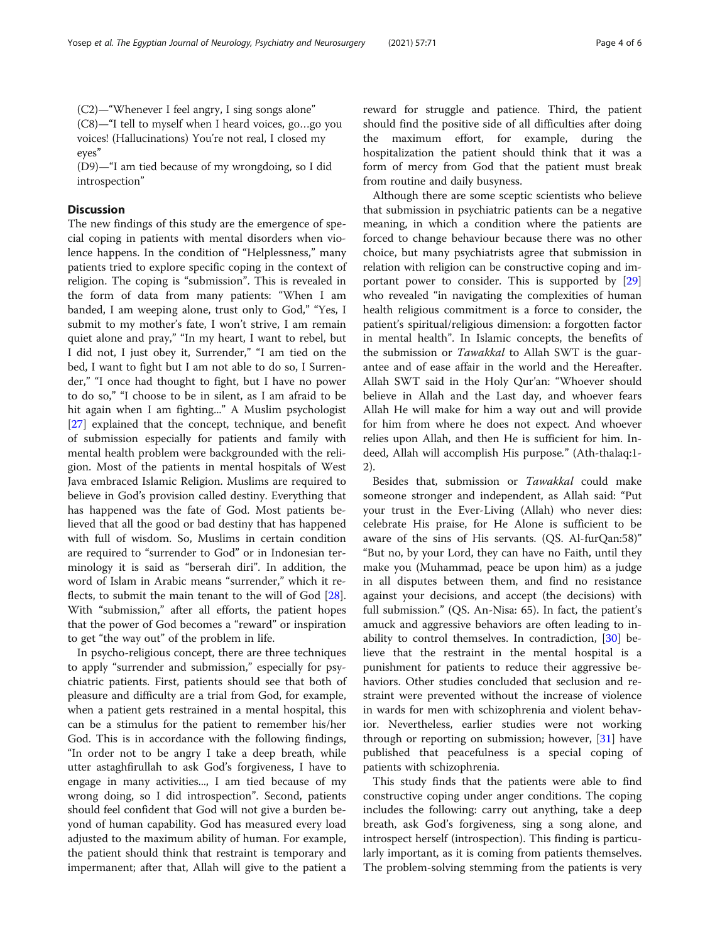(C2)—"Whenever I feel angry, I sing songs alone" (C8)—"I tell to myself when I heard voices, go…go you voices! (Hallucinations) You're not real, I closed my eyes"

(D9)—"I am tied because of my wrongdoing, so I did introspection"

# **Discussion**

The new findings of this study are the emergence of special coping in patients with mental disorders when violence happens. In the condition of "Helplessness," many patients tried to explore specific coping in the context of religion. The coping is "submission". This is revealed in the form of data from many patients: "When I am banded, I am weeping alone, trust only to God," "Yes, I submit to my mother's fate, I won't strive, I am remain quiet alone and pray," "In my heart, I want to rebel, but I did not, I just obey it, Surrender," "I am tied on the bed, I want to fight but I am not able to do so, I Surrender," "I once had thought to fight, but I have no power to do so," "I choose to be in silent, as I am afraid to be hit again when I am fighting..." A Muslim psychologist [[27\]](#page-5-0) explained that the concept, technique, and benefit of submission especially for patients and family with mental health problem were backgrounded with the religion. Most of the patients in mental hospitals of West Java embraced Islamic Religion. Muslims are required to believe in God's provision called destiny. Everything that has happened was the fate of God. Most patients believed that all the good or bad destiny that has happened with full of wisdom. So, Muslims in certain condition are required to "surrender to God" or in Indonesian terminology it is said as "berserah diri". In addition, the word of Islam in Arabic means "surrender," which it reflects, to submit the main tenant to the will of God [\[28](#page-5-0)]. With "submission," after all efforts, the patient hopes that the power of God becomes a "reward" or inspiration to get "the way out" of the problem in life.

In psycho-religious concept, there are three techniques to apply "surrender and submission," especially for psychiatric patients. First, patients should see that both of pleasure and difficulty are a trial from God, for example, when a patient gets restrained in a mental hospital, this can be a stimulus for the patient to remember his/her God. This is in accordance with the following findings, "In order not to be angry I take a deep breath, while utter astaghfirullah to ask God's forgiveness, I have to engage in many activities..., I am tied because of my wrong doing, so I did introspection". Second, patients should feel confident that God will not give a burden beyond of human capability. God has measured every load adjusted to the maximum ability of human. For example, the patient should think that restraint is temporary and impermanent; after that, Allah will give to the patient a reward for struggle and patience. Third, the patient should find the positive side of all difficulties after doing the maximum effort, for example, during the hospitalization the patient should think that it was a form of mercy from God that the patient must break from routine and daily busyness.

Although there are some sceptic scientists who believe that submission in psychiatric patients can be a negative meaning, in which a condition where the patients are forced to change behaviour because there was no other choice, but many psychiatrists agree that submission in relation with religion can be constructive coping and important power to consider. This is supported by [[29](#page-5-0)] who revealed "in navigating the complexities of human health religious commitment is a force to consider, the patient's spiritual/religious dimension: a forgotten factor in mental health". In Islamic concepts, the benefits of the submission or Tawakkal to Allah SWT is the guarantee and of ease affair in the world and the Hereafter. Allah SWT said in the Holy Qur'an: "Whoever should believe in Allah and the Last day, and whoever fears Allah He will make for him a way out and will provide for him from where he does not expect. And whoever relies upon Allah, and then He is sufficient for him. Indeed, Allah will accomplish His purpose." (Ath-thalaq:1- 2).

Besides that, submission or Tawakkal could make someone stronger and independent, as Allah said: "Put your trust in the Ever-Living (Allah) who never dies: celebrate His praise, for He Alone is sufficient to be aware of the sins of His servants. (QS. Al-furQan:58)" "But no, by your Lord, they can have no Faith, until they make you (Muhammad, peace be upon him) as a judge in all disputes between them, and find no resistance against your decisions, and accept (the decisions) with full submission." (QS. An-Nisa: 65). In fact, the patient's amuck and aggressive behaviors are often leading to inability to control themselves. In contradiction, [\[30](#page-5-0)] believe that the restraint in the mental hospital is a punishment for patients to reduce their aggressive behaviors. Other studies concluded that seclusion and restraint were prevented without the increase of violence in wards for men with schizophrenia and violent behavior. Nevertheless, earlier studies were not working through or reporting on submission; however, [\[31](#page-5-0)] have published that peacefulness is a special coping of patients with schizophrenia.

This study finds that the patients were able to find constructive coping under anger conditions. The coping includes the following: carry out anything, take a deep breath, ask God's forgiveness, sing a song alone, and introspect herself (introspection). This finding is particularly important, as it is coming from patients themselves. The problem-solving stemming from the patients is very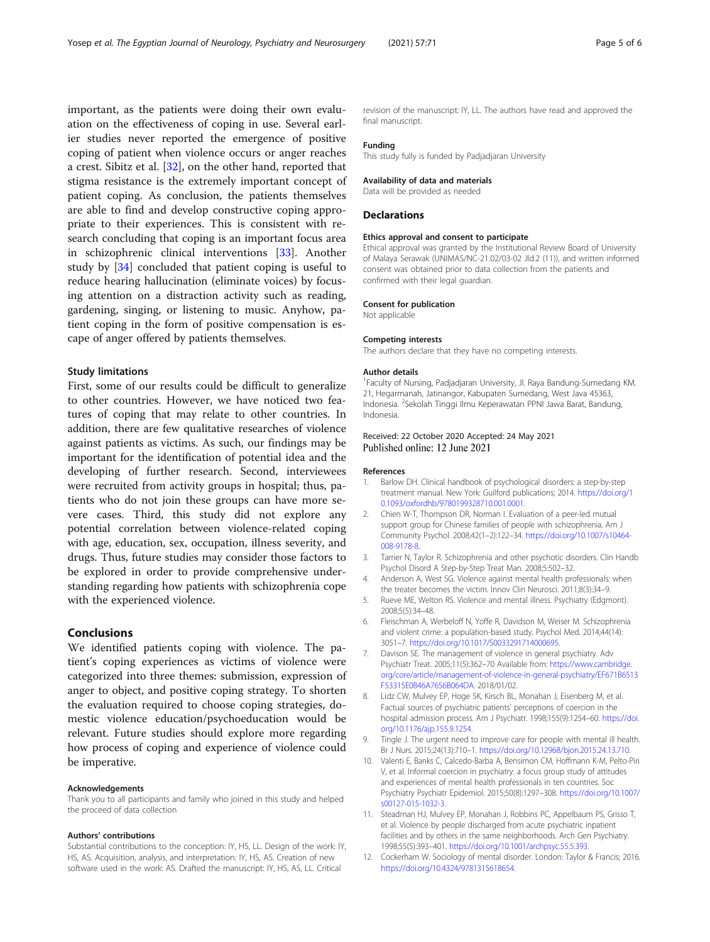<span id="page-4-0"></span>important, as the patients were doing their own evaluation on the effectiveness of coping in use. Several earlier studies never reported the emergence of positive coping of patient when violence occurs or anger reaches a crest. Sibitz et al. [[32](#page-5-0)], on the other hand, reported that stigma resistance is the extremely important concept of patient coping. As conclusion, the patients themselves are able to find and develop constructive coping appropriate to their experiences. This is consistent with research concluding that coping is an important focus area in schizophrenic clinical interventions [\[33](#page-5-0)]. Another study by [[34\]](#page-5-0) concluded that patient coping is useful to reduce hearing hallucination (eliminate voices) by focusing attention on a distraction activity such as reading, gardening, singing, or listening to music. Anyhow, patient coping in the form of positive compensation is escape of anger offered by patients themselves.

## Study limitations

First, some of our results could be difficult to generalize to other countries. However, we have noticed two features of coping that may relate to other countries. In addition, there are few qualitative researches of violence against patients as victims. As such, our findings may be important for the identification of potential idea and the developing of further research. Second, interviewees were recruited from activity groups in hospital; thus, patients who do not join these groups can have more severe cases. Third, this study did not explore any potential correlation between violence-related coping with age, education, sex, occupation, illness severity, and drugs. Thus, future studies may consider those factors to be explored in order to provide comprehensive understanding regarding how patients with schizophrenia cope with the experienced violence.

# Conclusions

We identified patients coping with violence. The patient's coping experiences as victims of violence were categorized into three themes: submission, expression of anger to object, and positive coping strategy. To shorten the evaluation required to choose coping strategies, domestic violence education/psychoeducation would be relevant. Future studies should explore more regarding how process of coping and experience of violence could be imperative.

#### Acknowledgements

Thank you to all participants and family who joined in this study and helped the proceed of data collection

#### Authors' contributions

Substantial contributions to the conception: IY, HS, LL. Design of the work: IY, HS, AS. Acquisition, analysis, and interpretation: IY, HS, AS. Creation of new software used in the work: AS. Drafted the manuscript: IY, HS, AS, LL. Critical

revision of the manuscript: IY, LL. The authors have read and approved the final manuscript.

#### Funding

This study fully is funded by Padjadjaran University

#### Availability of data and materials

Data will be provided as needed

#### **Declarations**

#### Ethics approval and consent to participate

Ethical approval was granted by the Institutional Review Board of University of Malaya Serawak (UNIMAS/NC-21.02/03-02 Jld.2 (11)), and written informed consent was obtained prior to data collection from the patients and confirmed with their legal guardian.

#### Consent for publication

Not applicable

#### Competing interests

The authors declare that they have no competing interests.

#### Author details

<sup>1</sup> Faculty of Nursing, Padjadjaran University, Jl. Raya Bandung-Sumedang KM. 21, Hegarmanah, Jatinangor, Kabupaten Sumedang, West Java 45363, Indonesia. <sup>2</sup>Sekolah Tinggi Ilmu Keperawatan PPNI Jawa Barat, Bandung, Indonesia.

#### Received: 22 October 2020 Accepted: 24 May 2021 Published online: 12 June 2021

#### References

- 1. Barlow DH. Clinical handbook of psychological disorders: a step-by-step treatment manual. New York: Guilford publications; 2014. [https://doi.org/1](https://doi.org/10.1093/oxfordhb/9780199328710.001.0001) [0.1093/oxfordhb/9780199328710.001.0001.](https://doi.org/10.1093/oxfordhb/9780199328710.001.0001)
- 2. Chien W-T, Thompson DR, Norman I. Evaluation of a peer-led mutual support group for Chinese families of people with schizophrenia. Am J Community Psychol. 2008;42(1–2):122–34. [https://doi.org/10.1007/s10464-](https://doi.org/10.1007/s10464-008-9178-8) [008-9178-8](https://doi.org/10.1007/s10464-008-9178-8).
- 3. Tarrier N, Taylor R. Schizophrenia and other psychotic disorders. Clin Handb Psychol Disord A Step-by-Step Treat Man. 2008;5:502–32.
- 4. Anderson A, West SG. Violence against mental health professionals: when the treater becomes the victim. Innov Clin Neurosci. 2011;8(3):34–9.
- 5. Rueve ME, Welton RS. Violence and mental illness. Psychiatry (Edgmont). 2008;5(5):34–48.
- 6. Fleischman A, Werbeloff N, Yoffe R, Davidson M, Weiser M. Schizophrenia and violent crime: a population-based study. Psychol Med. 2014;44(14): 3051–7. [https://doi.org/10.1017/S0033291714000695.](https://doi.org/10.1017/S0033291714000695)
- 7. Davison SE. The management of violence in general psychiatry. Adv Psychiatr Treat. 2005;11(5):362–70 Available from: [https://www.cambridge.](https://www.cambridge.org/core/article/management-of-violence-in-general-psychiatry/EF671B6513F53315E0B46A7656B064DA) [org/core/article/management-of-violence-in-general-psychiatry/EF671B6513](https://www.cambridge.org/core/article/management-of-violence-in-general-psychiatry/EF671B6513F53315E0B46A7656B064DA) [F53315E0B46A7656B064DA](https://www.cambridge.org/core/article/management-of-violence-in-general-psychiatry/EF671B6513F53315E0B46A7656B064DA). 2018/01/02.
- 8. Lidz CW, Mulvey EP, Hoge SK, Kirsch BL, Monahan J, Eisenberg M, et al. Factual sources of psychiatric patients' perceptions of coercion in the hospital admission process. Am J Psychiatr. 1998;155(9):1254–60. [https://doi.](https://doi.org/10.1176/ajp.155.9.1254) [org/10.1176/ajp.155.9.1254](https://doi.org/10.1176/ajp.155.9.1254).
- 9. Tingle J. The urgent need to improve care for people with mental ill health. Br J Nurs. 2015;24(13):710–1. <https://doi.org/10.12968/bjon.2015.24.13.710>.
- 10. Valenti E, Banks C, Calcedo-Barba A, Bensimon CM, Hoffmann K-M, Pelto-Piri V, et al. Informal coercion in psychiatry: a focus group study of attitudes and experiences of mental health professionals in ten countries. Soc Psychiatry Psychiatr Epidemiol. 2015;50(8):1297–308. [https://doi.org/10.1007/](https://doi.org/10.1007/s00127-015-1032-3) [s00127-015-1032-3.](https://doi.org/10.1007/s00127-015-1032-3)
- 11. Steadman HJ, Mulvey EP, Monahan J, Robbins PC, Appelbaum PS, Grisso T, et al. Violence by people discharged from acute psychiatric inpatient facilities and by others in the same neighborhoods. Arch Gen Psychiatry. 1998;55(5):393–401. <https://doi.org/10.1001/archpsyc.55.5.393>.
- 12. Cockerham W. Sociology of mental disorder. London: Taylor & Francis; 2016. <https://doi.org/10.4324/9781315618654>.